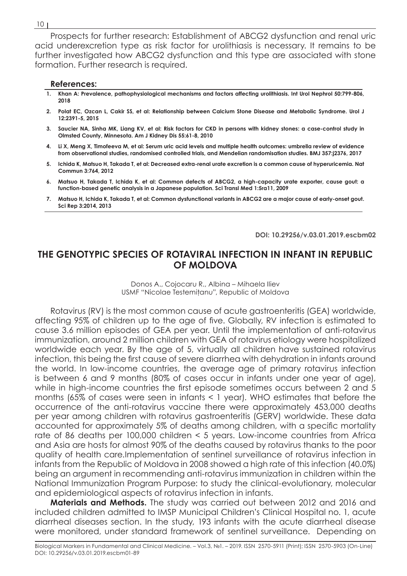Prospects for further research: Establishment of ABCG2 dysfunction and renal uric acid underexcretion type as risk factor for urolithiasis is necessary. It remains to be further investigated how ABCG2 dysfunction and this type are associated with stone formation. Further research is required.

### **References:**

- **1. Khan A: Prevalence, pathophysiological mechanisms and factors affecting urolithiasis. Int Urol Nephrol 50:799-806, 2018**
- **2. Polat EC, Ozcan L, Cakir SS, et al: Relationship between Calcium Stone Disease and Metabolic Syndrome. Urol J 12:2391-5, 2015**
- **3. Saucier NA, Sinha MK, Liang KV, et al: Risk factors for CKD in persons with kidney stones: a case-control study in Olmsted County, Minnesota. Am J Kidney Dis 55:61-8, 2010**
- **4. Li X, Meng X, Timofeeva M, et al: Serum uric acid levels and multiple health outcomes: umbrella review of evidence from observational studies, randomised controlled trials, and Mendelian randomisation studies. BMJ 357:j2376, 2017**
- **5. Ichida K, Matsuo H, Takada T, et al: Decreased extra-renal urate excretion is a common cause of hyperuricemia. Nat Commun 3:764, 2012**
- **6. Matsuo H, Takada T, Ichida K, et al: Common defects of ABCG2, a high-capacity urate exporter, cause gout: a function-based genetic analysis in a Japanese population. Sci Transl Med 1:5ra11, 2009**
- **7. Matsuo H, Ichida K, Takada T, et al: Common dysfunctional variants in ABCG2 are a major cause of early-onset gout. Sci Rep 3:2014, 2013**

**DOI: 10.29256/v.03.01.2019.escbm02**

# **THE GENOTYPIC SPECIES OF ROTAVIRAL INFECTION IN INFANT IN REPUBLIC OF MOLDOVA**

Donos A., Cojocaru R., Albina – Mihaela Iliev USMF "Nicolae Testemiţanu", Republic of Moldova

Rotavirus (RV) is the most common cause of acute gastroenteritis (GEA) worldwide, affecting 95% of children up to the age of five. Globally, RV infection is estimated to cause 3.6 million episodes of GEA per year. Until the implementation of anti-rotavirus immunization, around 2 million children with GEA of rotavirus etiology were hospitalized worldwide each year. By the age of 5, virtually all children have sustained rotavirus infection, this being the first cause of severe diarrhea with dehydration in infants around the world. In low-income countries, the average age of primary rotavirus infection is between 6 and 9 months (80% of cases occur in infants under one year of age), while in high-income countries the first episode sometimes occurs between 2 and 5 months (65% of cases were seen in infants < 1 year). WHO estimates that before the occurrence of the anti-rotavirus vaccine there were approximately 453,000 deaths per year among children with rotavirus gastroenteritis (GERV) worldwide. These data accounted for approximately 5% of deaths among children, with a specific mortality rate of 86 deaths per 100,000 children < 5 years. Low-income countries from Africa and Asia are hosts for almost 90% of the deaths caused by rotavirus thanks to the poor quality of health care.Implementation of sentinel surveillance of rotavirus infection in infants from the Republic of Moldova in 2008 showed a high rate of this infection (40.0%) being an argument in recommending anti-rotavirus immunization in children within the National Immunization Program Purpose: to study the clinical-evolutionary, molecular and epidemiological aspects of rotavirus infection in infants.

**Materials and Methods.** The study was carried out between 2012 and 2016 and included children admitted to IMSP Municipal Children's Clinical Hospital no. 1, acute diarrheal diseases section. In the study, 193 infants with the acute diarrheal disease were monitored, under standard framework of sentinel surveillance. Depending on

#### 10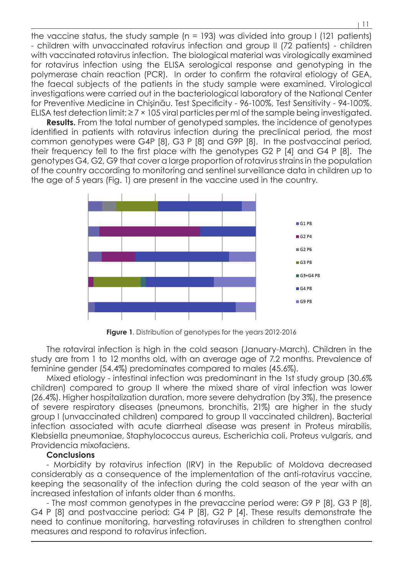the vaccine status, the study sample (n = 193) was divided into group I (121 patients) - children with unvaccinated rotavirus infection and group II (72 patients) - children with vaccinated rotavirus infection. The biological material was virologically examined for rotavirus infection using the ELISA serological response and genotyping in the polymerase chain reaction (PCR). In order to confirm the rotaviral etiology of GEA, the faecal subjects of the patients in the study sample were examined. Virological investigations were carried out in the bacteriological laboratory of the National Center for Preventive Medicine in Chişinău. Test Specificity - 96-100%, Test Sensitivity - 94-100%. ELISA test detection limit:  $\geq 7 \times 105$  viral particles per mI of the sample being investigated.

**Results.** From the total number of genotyped samples, the incidence of genotypes identified in patients with rotavirus infection during the preclinical period, the most common genotypes were G4P [8], G3 P [8] and G9P [8]. In the postvaccinal period, their frequency fell to the first place with the genotypes G2 P [4] and G4 P [8]. The genotypes G4, G2, G9 that cover a large proportion of rotavirus strains in the population of the country according to monitoring and sentinel surveillance data in children up to the age of 5 years (Fig. 1) are present in the vaccine used in the country.



**Figure 1**. Distribution of genotypes for the years 2012-2016

The rotaviral infection is high in the cold season (January-March). Children in the study are from 1 to 12 months old, with an average age of 7.2 months. Prevalence of feminine gender (54.4%) predominates compared to males (45.6%).

Mixed etiology - intestinal infection was predominant in the 1st study group (30.6% children) compared to group II where the mixed share of viral infection was lower (26.4%). Higher hospitalization duration, more severe dehydration (by 3%), the presence of severe respiratory diseases (pneumons, bronchitis, 21%) are higher in the study group I (unvaccinated children) compared to group II vaccinated children). Bacterial infection associated with acute diarrheal disease was present in Proteus mirabilis, Klebsiella pneumoniae, Staphylococcus aureus, Escherichia coli, Proteus vulgaris, and Providencia mixofaciens.

### **Conclusions**

- Morbidity by rotavirus infection (IRV) in the Republic of Moldova decreased considerably as a consequence of the implementation of the anti-rotavirus vaccine, keeping the seasonality of the infection during the cold season of the year with an increased infestation of infants older than 6 months.

- The most common genotypes in the prevaccine period were: G9 P [8], G3 P [8], G4 P [8] and postvaccine period: G4 P [8], G2 P [4]. These results demonstrate the need to continue monitoring, harvesting rotaviruses in children to strengthen control measures and respond to rotavirus infection.